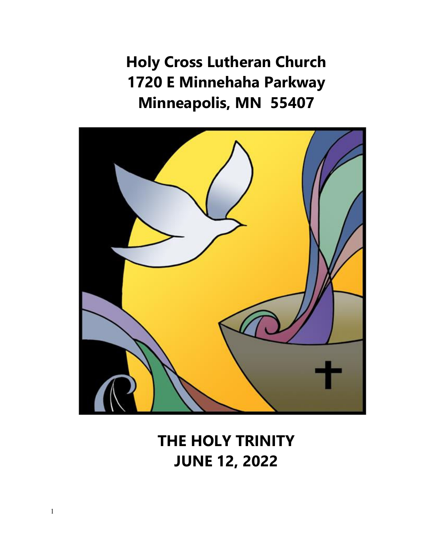**Holy Cross Lutheran Church 1720 E Minnehaha Parkway Minneapolis, MN 55407**



**THE HOLY TRINITY JUNE 12, 2022**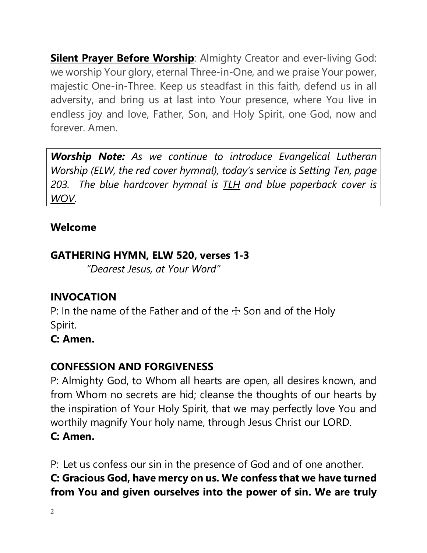**Silent Prayer Before Worship:** Almighty Creator and ever-living God: we worship Your glory, eternal Three-in-One, and we praise Your power, majestic One-in-Three. Keep us steadfast in this faith, defend us in all adversity, and bring us at last into Your presence, where You live in endless joy and love, Father, Son, and Holy Spirit, one God, now and forever. Amen.

*Worship Note: As we continue to introduce Evangelical Lutheran Worship (ELW, the red cover hymnal), today's service is Setting Ten, page 203. The blue hardcover hymnal is TLH and blue paperback cover is WOV.* 

### **Welcome**

### **GATHERING HYMN, ELW 520, verses 1-3**

*"Dearest Jesus, at Your Word"*

## **INVOCATION**

P: In the name of the Father and of the  $+$  Son and of the Holy Spirit.

**C: Amen.**

## **CONFESSION AND FORGIVENESS**

P: Almighty God, to Whom all hearts are open, all desires known, and from Whom no secrets are hid; cleanse the thoughts of our hearts by the inspiration of Your Holy Spirit, that we may perfectly love You and worthily magnify Your holy name, through Jesus Christ our LORD. **C: Amen.**

P: Let us confess our sin in the presence of God and of one another. **C: Gracious God, have mercy on us. We confess that we have turned from You and given ourselves into the power of sin. We are truly**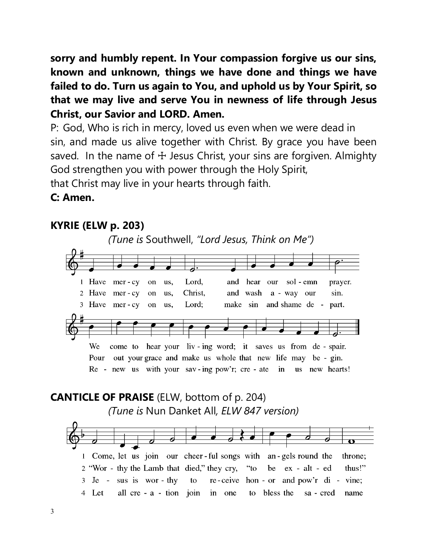**sorry and humbly repent. In Your compassion forgive us our sins, known and unknown, things we have done and things we have failed to do. Turn us again to You, and uphold us by Your Spirit, so that we may live and serve You in newness of life through Jesus Christ, our Savior and LORD. Amen.**

P: God, Who is rich in mercy, loved us even when we were dead in sin, and made us alive together with Christ. By grace you have been saved. In the name of  $\pm$  Jesus Christ, your sins are forgiven. Almighty God strengthen you with power through the Holy Spirit, that Christ may live in your hearts through faith.

#### **C: Amen.**

## **KYRIE (ELW p. 203)**

*(Tune is* Southwell, *"Lord Jesus, Think on Me")* 



## **CANTICLE OF PRAISE** (ELW, bottom of p. 204) *(Tune is* Nun Danket All*, ELW 847 version)*

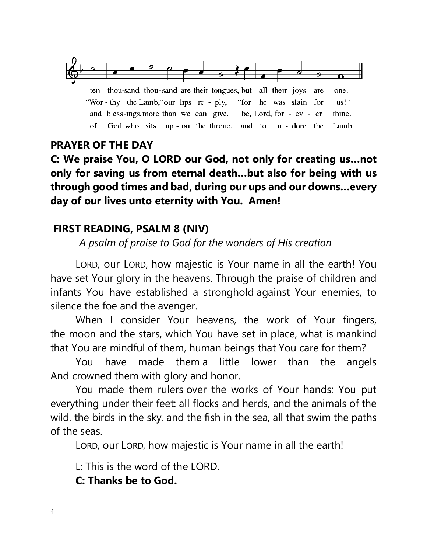

ten thou-sand thou-sand are their tongues, but all their joys are one. "Wor - thy the Lamb," our lips re - ply, "for he was slain for  $\mathbf{u}\mathbf{s}$ <sup>1</sup> and bless-ings, more than we can give, be, Lord, for - ev - er thine. of God who sits up - on the throne, and to a - dore the Lamb.

#### **PRAYER OF THE DAY**

**C: We praise You, O LORD our God, not only for creating us…not only for saving us from eternal death…but also for being with us through good times and bad, during our ups and our downs…every day of our lives unto eternity with You. Amen!**

#### **FIRST READING, PSALM 8 (NIV)**

 *A psalm of praise to God for the wonders of His creation*

LORD, our LORD, how majestic is Your name in all the earth! You have set Your glory in the heavens. Through the praise of children and infants You have established a stronghold against Your enemies, to silence the foe and the avenger.

When I consider Your heavens, the work of Your fingers, the moon and the stars, which You have set in place, what is mankind that You are mindful of them, human beings that You care for them?

You have made them a little lower than the angels And crowned them with glory and honor.

You made them rulers over the works of Your hands; You put everything under their feet: all flocks and herds, and the animals of the wild, the birds in the sky, and the fish in the sea, all that swim the paths of the seas.

LORD, our LORD, how majestic is Your name in all the earth!

L: This is the word of the LORD.

**C: Thanks be to God.**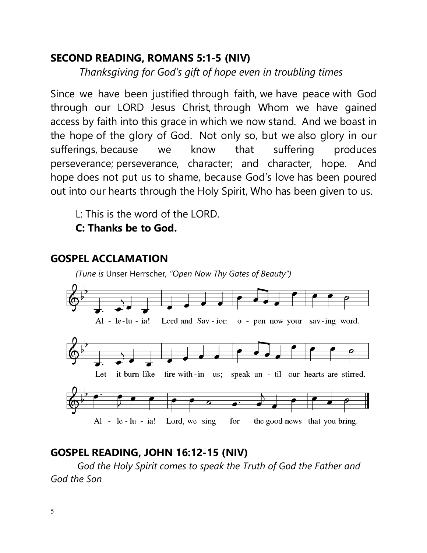#### **SECOND READING, ROMANS 5:1-5 (NIV)**

 *Thanksgiving for God's gift of hope even in troubling times*

Since we have been justified through faith, we have peace with God through our LORD Jesus Christ, through Whom we have gained access by faith into this grace in which we now stand. And we boast in the hope of the glory of God. Not only so, but we also glory in our sufferings, because we know that suffering produces perseverance; perseverance, character; and character, hope. And hope does not put us to shame, because God's love has been poured out into our hearts through the Holy Spirit, Who has been given to us.

L: This is the word of the LORD.

### **C: Thanks be to God.**



#### **GOSPEL ACCLAMATION**

#### **GOSPEL READING, JOHN 16:12-15 (NIV)**

 *God the Holy Spirit comes to speak the Truth of God the Father and God the Son*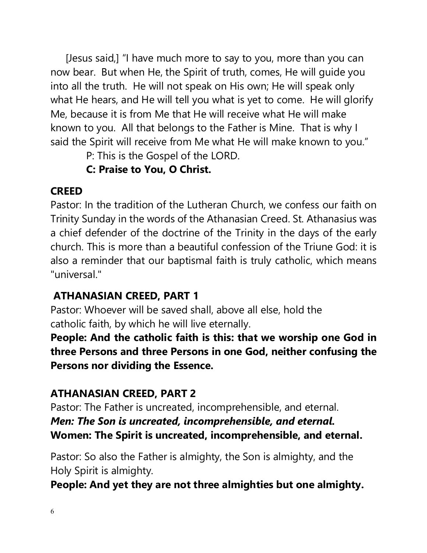[Jesus said,] "I have much more to say to you, more than you can now bear. But when He, the Spirit of truth, comes, He will guide you into all the truth. He will not speak on His own; He will speak only what He hears, and He will tell you what is yet to come. He will glorify Me, because it is from Me that He will receive what He will make known to you. All that belongs to the Father is Mine. That is why I said the Spirit will receive from Me what He will make known to you."

P: This is the Gospel of the LORD.

## **C: Praise to You, O Christ.**

## **CREED**

Pastor: In the tradition of the Lutheran Church, we confess our faith on Trinity Sunday in the words of the Athanasian Creed. St. Athanasius was a chief defender of the doctrine of the Trinity in the days of the early church. This is more than a beautiful confession of the Triune God: it is also a reminder that our baptismal faith is truly catholic, which means "universal."

# **ATHANASIAN CREED, PART 1**

Pastor: Whoever will be saved shall, above all else, hold the catholic faith, by which he will live eternally.

**People: And the catholic faith is this: that we worship one God in three Persons and three Persons in one God, neither confusing the Persons nor dividing the Essence.**

## **ATHANASIAN CREED, PART 2**

Pastor: The Father is uncreated, incomprehensible, and eternal. *Men: The Son is uncreated, incomprehensible, and eternal.* **Women: The Spirit is uncreated, incomprehensible, and eternal.**

Pastor: So also the Father is almighty, the Son is almighty, and the Holy Spirit is almighty.

**People: And yet they are not three almighties but one almighty.**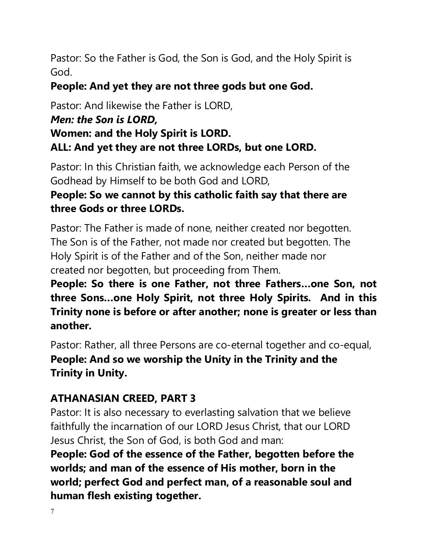Pastor: So the Father is God, the Son is God, and the Holy Spirit is God.

#### **People: And yet they are not three gods but one God.**

Pastor: And likewise the Father is LORD,

#### *Men: the Son is LORD,*

### **Women: and the Holy Spirit is LORD. ALL: And yet they are not three LORDs, but one LORD.**

Pastor: In this Christian faith, we acknowledge each Person of the Godhead by Himself to be both God and LORD,

### **People: So we cannot by this catholic faith say that there are three Gods or three LORDs.**

Pastor: The Father is made of none, neither created nor begotten. The Son is of the Father, not made nor created but begotten. The Holy Spirit is of the Father and of the Son, neither made nor created nor begotten, but proceeding from Them.

**People: So there is one Father, not three Fathers…one Son, not three Sons…one Holy Spirit, not three Holy Spirits. And in this Trinity none is before or after another; none is greater or less than another.**

Pastor: Rather, all three Persons are co-eternal together and co-equal, **People: And so we worship the Unity in the Trinity and the Trinity in Unity.**

## **ATHANASIAN CREED, PART 3**

Pastor: It is also necessary to everlasting salvation that we believe faithfully the incarnation of our LORD Jesus Christ, that our LORD Jesus Christ, the Son of God, is both God and man:

**People: God of the essence of the Father, begotten before the worlds; and man of the essence of His mother, born in the world; perfect God and perfect man, of a reasonable soul and human flesh existing together.**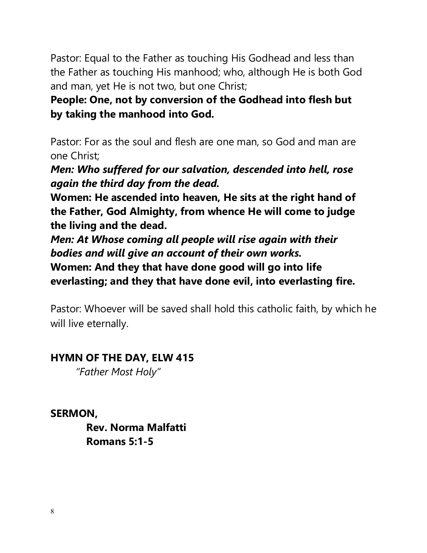Pastor: Equal to the Father as touching His Godhead and less than the Father as touching His manhood; who, although He is both God and man, yet He is not two, but one Christ;

**People: One, not by conversion of the Godhead into flesh but by taking the manhood into God.**

Pastor: For as the soul and flesh are one man, so God and man are one Christ;

*Men: Who suffered for our salvation, descended into hell, rose again the third day from the dead.*

**Women: He ascended into heaven, He sits at the right hand of the Father, God Almighty, from whence He will come to judge the living and the dead.**

*Men: At Whose coming all people will rise again with their bodies and will give an account of their own works.* **Women: And they that have done good will go into life everlasting; and they that have done evil, into everlasting fire.**

Pastor: Whoever will be saved shall hold this catholic faith, by which he will live eternally.

#### **HYMN OF THE DAY, ELW 415**

*"Father Most Holy"*

**SERMON,** 

**Rev. Norma Malfatti Romans 5:1-5**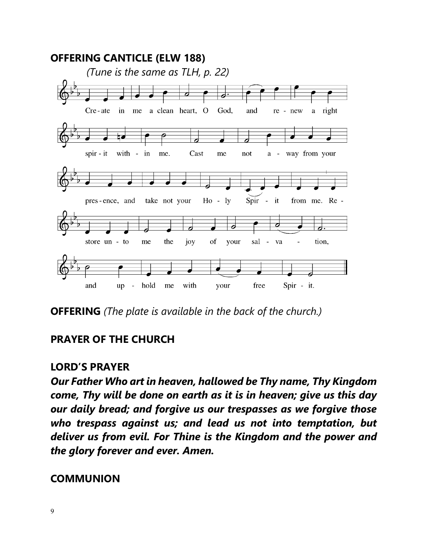

**OFFERING** *(The plate is available in the back of the church.)*

## **PRAYER OF THE CHURCH**

#### **LORD'S PRAYER**

*Our Father Who art in heaven, hallowed be Thy name, Thy Kingdom come, Thy will be done on earth as it is in heaven; give us this day our daily bread; and forgive us our trespasses as we forgive those who trespass against us; and lead us not into temptation, but deliver us from evil. For Thine is the Kingdom and the power and the glory forever and ever. Amen.*

#### **COMMUNION**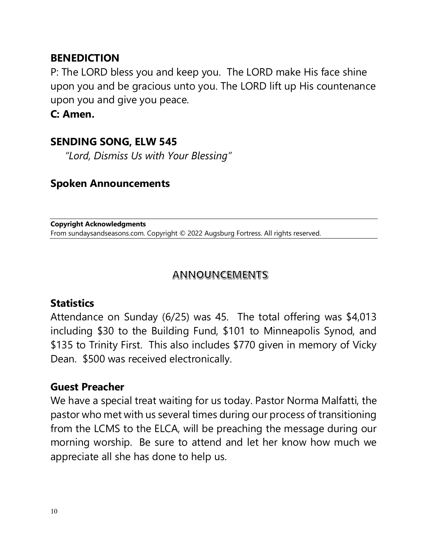#### **BENEDICTION**

P: The LORD bless you and keep you. The LORD make His face shine upon you and be gracious unto you. The LORD lift up His countenance upon you and give you peace.

**C: Amen.**

#### **SENDING SONG, ELW 545**

 *"Lord, Dismiss Us with Your Blessing"*

#### **Spoken Announcements**

**Copyright Acknowledgments** From sundaysandseasons.com. Copyright © 2022 Augsburg Fortress. All rights reserved.

#### **ANNOUNCEMENTS**

## **Statistics**

Attendance on Sunday (6/25) was 45. The total offering was \$4,013 including \$30 to the Building Fund, \$101 to Minneapolis Synod, and \$135 to Trinity First. This also includes \$770 given in memory of Vicky Dean. \$500 was received electronically.

#### **Guest Preacher**

We have a special treat waiting for us today. Pastor Norma Malfatti, the pastor who met with us several times during our process of transitioning from the LCMS to the ELCA, will be preaching the message during our morning worship. Be sure to attend and let her know how much we appreciate all she has done to help us.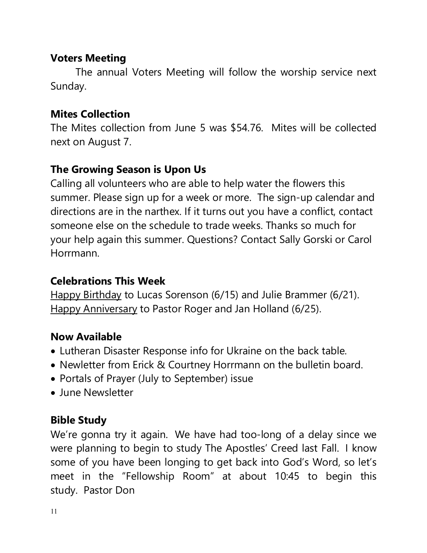#### **Voters Meeting**

The annual Voters Meeting will follow the worship service next Sunday.

#### **Mites Collection**

The Mites collection from June 5 was \$54.76. Mites will be collected next on August 7.

### **The Growing Season is Upon Us**

Calling all volunteers who are able to help water the flowers this summer. Please sign up for a week or more. The sign-up calendar and directions are in the narthex. If it turns out you have a conflict, contact someone else on the schedule to trade weeks. Thanks so much for your help again this summer. Questions? Contact Sally Gorski or Carol Horrmann.

## **Celebrations This Week**

Happy Birthday to Lucas Sorenson (6/15) and Julie Brammer (6/21). Happy Anniversary to Pastor Roger and Jan Holland (6/25).

## **Now Available**

- Lutheran Disaster Response info for Ukraine on the back table.
- Newletter from Erick & Courtney Horrmann on the bulletin board.
- Portals of Prayer (July to September) issue
- June Newsletter

## **Bible Study**

We're gonna try it again. We have had too-long of a delay since we were planning to begin to study The Apostles' Creed last Fall. I know some of you have been longing to get back into God's Word, so let's meet in the "Fellowship Room" at about 10:45 to begin this study. Pastor Don